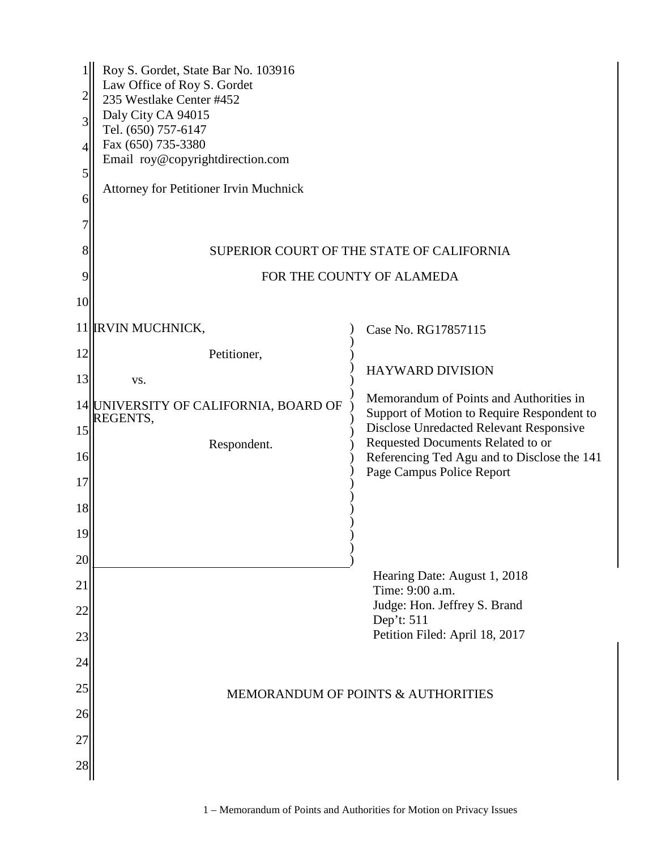| 4<br>5<br>6 | Roy S. Gordet, State Bar No. 103916<br>Law Office of Roy S. Gordet<br>235 Westlake Center #452<br>Daly City CA 94015<br>Tel. (650) 757-6147<br>Fax (650) 735-3380<br>Email roy@copyrightdirection.com<br><b>Attorney for Petitioner Irvin Muchnick</b> |                                                                                                                                  |  |  |
|-------------|--------------------------------------------------------------------------------------------------------------------------------------------------------------------------------------------------------------------------------------------------------|----------------------------------------------------------------------------------------------------------------------------------|--|--|
| 8           |                                                                                                                                                                                                                                                        | SUPERIOR COURT OF THE STATE OF CALIFORNIA                                                                                        |  |  |
| 9           | FOR THE COUNTY OF ALAMEDA                                                                                                                                                                                                                              |                                                                                                                                  |  |  |
| 10          |                                                                                                                                                                                                                                                        |                                                                                                                                  |  |  |
|             | 11 <b>IRVIN MUCHNICK,</b>                                                                                                                                                                                                                              | Case No. RG17857115                                                                                                              |  |  |
| 12          | Petitioner,                                                                                                                                                                                                                                            |                                                                                                                                  |  |  |
| 13          | VS.                                                                                                                                                                                                                                                    | <b>HAYWARD DIVISION</b>                                                                                                          |  |  |
| 15          | 14 UNIVERSITY OF CALIFORNIA, BOARD OF<br>REGENTS,                                                                                                                                                                                                      | Memorandum of Points and Authorities in<br>Support of Motion to Require Respondent to<br>Disclose Unredacted Relevant Responsive |  |  |
| 16          | Respondent.                                                                                                                                                                                                                                            | Requested Documents Related to or<br>Referencing Ted Agu and to Disclose the 141                                                 |  |  |
| 17          |                                                                                                                                                                                                                                                        | Page Campus Police Report                                                                                                        |  |  |
| 18          |                                                                                                                                                                                                                                                        |                                                                                                                                  |  |  |
| 19          |                                                                                                                                                                                                                                                        |                                                                                                                                  |  |  |
| 20          |                                                                                                                                                                                                                                                        |                                                                                                                                  |  |  |
| 21          |                                                                                                                                                                                                                                                        | Hearing Date: August 1, 2018<br>Time: 9:00 a.m.                                                                                  |  |  |
| 22          |                                                                                                                                                                                                                                                        | Judge: Hon. Jeffrey S. Brand<br>Dep't: 511                                                                                       |  |  |
| 23          |                                                                                                                                                                                                                                                        | Petition Filed: April 18, 2017                                                                                                   |  |  |
| 24          |                                                                                                                                                                                                                                                        |                                                                                                                                  |  |  |
| 25          |                                                                                                                                                                                                                                                        | MEMORANDUM OF POINTS & AUTHORITIES                                                                                               |  |  |
| 26          |                                                                                                                                                                                                                                                        |                                                                                                                                  |  |  |
| 27          |                                                                                                                                                                                                                                                        |                                                                                                                                  |  |  |
| 28          |                                                                                                                                                                                                                                                        |                                                                                                                                  |  |  |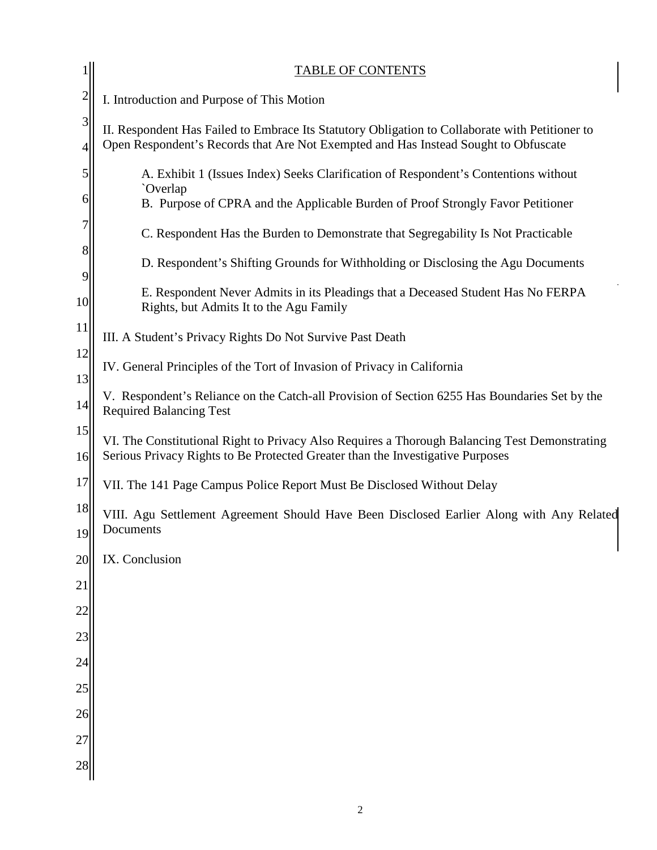|                | <b>TABLE OF CONTENTS</b>                                                                                                                                                               |
|----------------|----------------------------------------------------------------------------------------------------------------------------------------------------------------------------------------|
| $\overline{c}$ | I. Introduction and Purpose of This Motion                                                                                                                                             |
| 3<br>4         | II. Respondent Has Failed to Embrace Its Statutory Obligation to Collaborate with Petitioner to<br>Open Respondent's Records that Are Not Exempted and Has Instead Sought to Obfuscate |
| 5              | A. Exhibit 1 (Issues Index) Seeks Clarification of Respondent's Contentions without<br>`Overlap                                                                                        |
| 6              | B. Purpose of CPRA and the Applicable Burden of Proof Strongly Favor Petitioner                                                                                                        |
| 7              | C. Respondent Has the Burden to Demonstrate that Segregability Is Not Practicable                                                                                                      |
| 8<br>9         | D. Respondent's Shifting Grounds for Withholding or Disclosing the Agu Documents                                                                                                       |
| 10             | E. Respondent Never Admits in its Pleadings that a Deceased Student Has No FERPA<br>Rights, but Admits It to the Agu Family                                                            |
| 11             | III. A Student's Privacy Rights Do Not Survive Past Death                                                                                                                              |
| 12<br>13       | IV. General Principles of the Tort of Invasion of Privacy in California                                                                                                                |
| 14             | V. Respondent's Reliance on the Catch-all Provision of Section 6255 Has Boundaries Set by the<br><b>Required Balancing Test</b>                                                        |
| 15<br>16       | VI. The Constitutional Right to Privacy Also Requires a Thorough Balancing Test Demonstrating<br>Serious Privacy Rights to Be Protected Greater than the Investigative Purposes        |
| 17             | VII. The 141 Page Campus Police Report Must Be Disclosed Without Delay                                                                                                                 |
| 18             | VIII. Agu Settlement Agreement Should Have Been Disclosed Earlier Along with Any Related<br>Documents                                                                                  |
| 19<br>20       | IX. Conclusion                                                                                                                                                                         |
| 21             |                                                                                                                                                                                        |
| 22             |                                                                                                                                                                                        |
| 23             |                                                                                                                                                                                        |
| 24             |                                                                                                                                                                                        |
| 25             |                                                                                                                                                                                        |
| 26             |                                                                                                                                                                                        |
| 27             |                                                                                                                                                                                        |
| 28             |                                                                                                                                                                                        |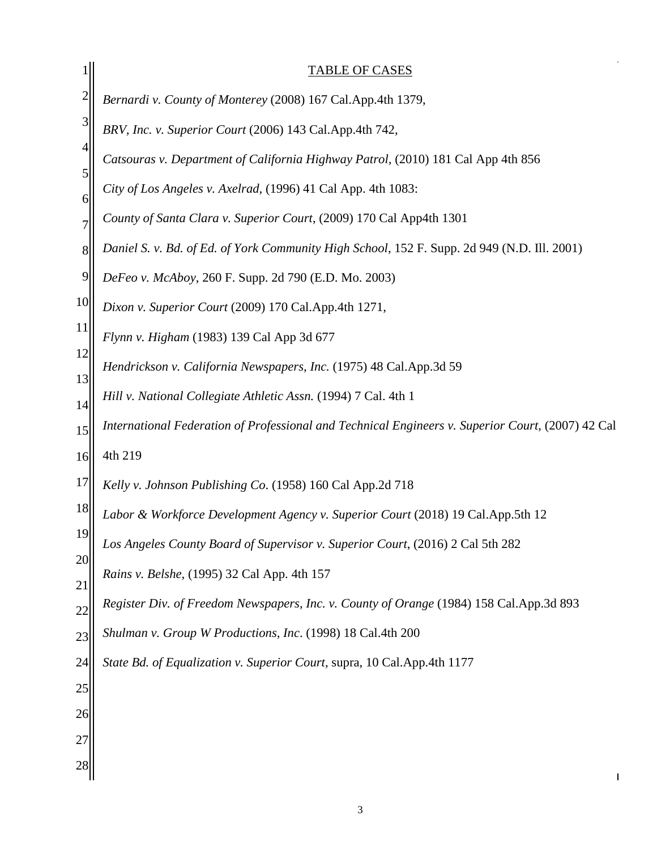|                | <b>TABLE OF CASES</b>                                                                             |
|----------------|---------------------------------------------------------------------------------------------------|
| $\overline{c}$ | Bernardi v. County of Monterey (2008) 167 Cal.App.4th 1379,                                       |
| 3              | BRV, Inc. v. Superior Court (2006) 143 Cal.App.4th 742,                                           |
| $\overline{4}$ | Catsouras v. Department of California Highway Patrol, (2010) 181 Cal App 4th 856                  |
| 5              | City of Los Angeles v. Axelrad, (1996) 41 Cal App. 4th 1083:                                      |
| 6              | County of Santa Clara v. Superior Court, (2009) 170 Cal App4th 1301                               |
| 8              | Daniel S. v. Bd. of Ed. of York Community High School, 152 F. Supp. 2d 949 (N.D. Ill. 2001)       |
| 9              | DeFeo v. McAboy, 260 F. Supp. 2d 790 (E.D. Mo. 2003)                                              |
| 10             | Dixon v. Superior Court (2009) 170 Cal.App.4th 1271,                                              |
| 11             | Flynn v. Higham (1983) 139 Cal App 3d 677                                                         |
| 12             | Hendrickson v. California Newspapers, Inc. (1975) 48 Cal.App.3d 59                                |
| 13<br>14       | Hill v. National Collegiate Athletic Assn. (1994) 7 Cal. 4th 1                                    |
| 15             | International Federation of Professional and Technical Engineers v. Superior Court, (2007) 42 Cal |
| 16             | 4th 219                                                                                           |
| 17             | Kelly v. Johnson Publishing Co. (1958) 160 Cal App.2d 718                                         |
| 18             | Labor & Workforce Development Agency v. Superior Court (2018) 19 Cal.App.5th 12                   |
| 19             | Los Angeles County Board of Supervisor v. Superior Court, (2016) 2 Cal 5th 282                    |
| 20             | Rains v. Belshe, (1995) 32 Cal App. 4th 157                                                       |
| 21<br>22       | Register Div. of Freedom Newspapers, Inc. v. County of Orange (1984) 158 Cal.App.3d 893           |
| 23             | Shulman v. Group W Productions, Inc. (1998) 18 Cal.4th 200                                        |
| 24             | State Bd. of Equalization v. Superior Court, supra, 10 Cal. App. 4th 1177                         |
| 25             |                                                                                                   |
| 26             |                                                                                                   |
| 27             |                                                                                                   |
| 28             |                                                                                                   |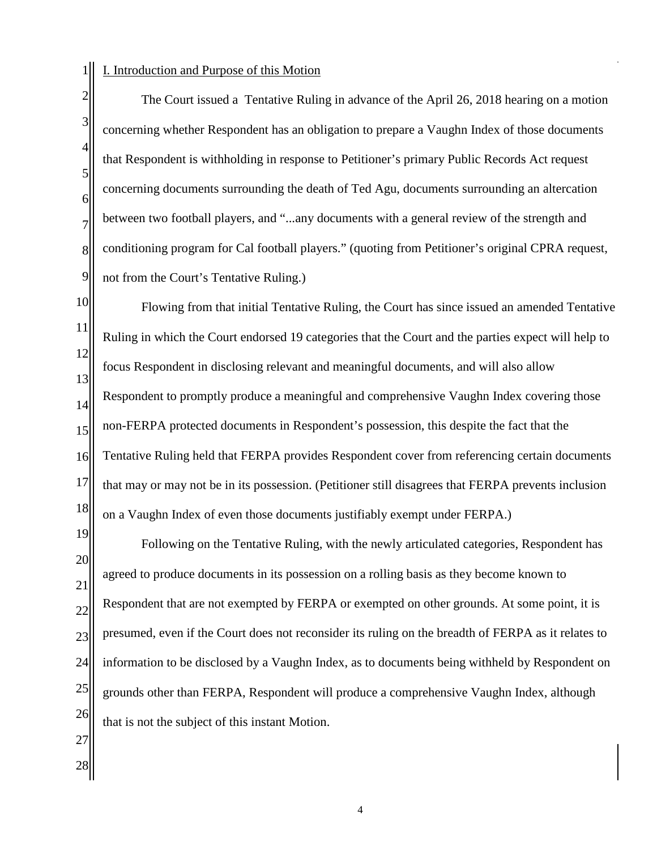## 1 I. Introduction and Purpose of this Motion

2 8 9 The Court issued a Tentative Ruling in advance of the April 26, 2018 hearing on a motion concerning whether Respondent has an obligation to prepare a Vaughn Index of those documents that Respondent is withholding in response to Petitioner's primary Public Records Act request concerning documents surrounding the death of Ted Agu, documents surrounding an altercation between two football players, and "...any documents with a general review of the strength and conditioning program for Cal football players." (quoting from Petitioner's original CPRA request, not from the Court's Tentative Ruling.)

10 11 12 13 14 15 16 17 18 Flowing from that initial Tentative Ruling, the Court has since issued an amended Tentative Ruling in which the Court endorsed 19 categories that the Court and the parties expect will help to focus Respondent in disclosing relevant and meaningful documents, and will also allow Respondent to promptly produce a meaningful and comprehensive Vaughn Index covering those non-FERPA protected documents in Respondent's possession, this despite the fact that the Tentative Ruling held that FERPA provides Respondent cover from referencing certain documents that may or may not be in its possession. (Petitioner still disagrees that FERPA prevents inclusion on a Vaughn Index of even those documents justifiably exempt under FERPA.)

19 20 21 22 23 24 25 26 Following on the Tentative Ruling, with the newly articulated categories, Respondent has agreed to produce documents in its possession on a rolling basis as they become known to Respondent that are not exempted by FERPA or exempted on other grounds. At some point, it is presumed, even if the Court does not reconsider its ruling on the breadth of FERPA as it relates to information to be disclosed by a Vaughn Index, as to documents being withheld by Respondent on grounds other than FERPA, Respondent will produce a comprehensive Vaughn Index, although that is not the subject of this instant Motion.

27

3

4

5

6

7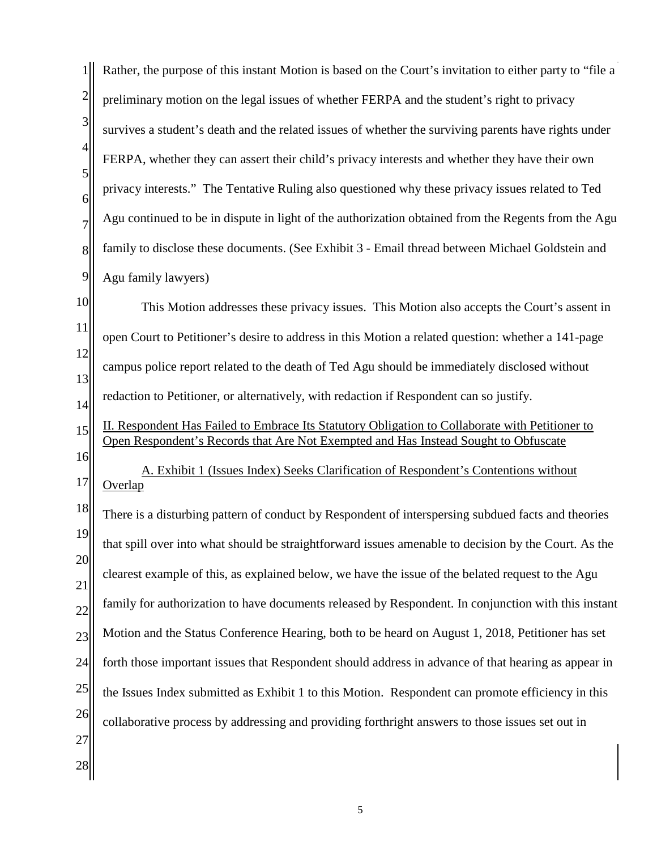| $\mathbf{1}$                       | Rather, the purpose of this instant Motion is based on the Court's invitation to either party to "file a                                                                               |
|------------------------------------|----------------------------------------------------------------------------------------------------------------------------------------------------------------------------------------|
| $\overline{2}$                     | preliminary motion on the legal issues of whether FERPA and the student's right to privacy                                                                                             |
| $\vert 3 \vert$                    | survives a student's death and the related issues of whether the surviving parents have rights under                                                                                   |
| $\vert 4 \vert$<br>$\vert 5 \vert$ | FERPA, whether they can assert their child's privacy interests and whether they have their own                                                                                         |
| $6 \mid$                           | privacy interests." The Tentative Ruling also questioned why these privacy issues related to Ted                                                                                       |
| $\overline{7}$                     | Agu continued to be in dispute in light of the authorization obtained from the Regents from the Agu                                                                                    |
| 8                                  | family to disclose these documents. (See Exhibit 3 - Email thread between Michael Goldstein and                                                                                        |
| $\overline{9}$                     | Agu family lawyers)                                                                                                                                                                    |
| 10                                 | This Motion addresses these privacy issues. This Motion also accepts the Court's assent in                                                                                             |
| 11                                 | open Court to Petitioner's desire to address in this Motion a related question: whether a 141-page                                                                                     |
| 12<br>13                           | campus police report related to the death of Ted Agu should be immediately disclosed without                                                                                           |
| 14                                 | redaction to Petitioner, or alternatively, with redaction if Respondent can so justify.                                                                                                |
| 15                                 | II. Respondent Has Failed to Embrace Its Statutory Obligation to Collaborate with Petitioner to<br>Open Respondent's Records that Are Not Exempted and Has Instead Sought to Obfuscate |
| 16<br>17                           | A. Exhibit 1 (Issues Index) Seeks Clarification of Respondent's Contentions without<br>Overlap                                                                                         |
| 18                                 | There is a disturbing pattern of conduct by Respondent of interspersing subdued facts and theories                                                                                     |
| 19                                 | that spill over into what should be straightforward issues amenable to decision by the Court. As the                                                                                   |
| 20<br>21                           | clearest example of this, as explained below, we have the issue of the belated request to the Agu                                                                                      |
| 22                                 | family for authorization to have documents released by Respondent. In conjunction with this instant                                                                                    |
| 23                                 | Motion and the Status Conference Hearing, both to be heard on August 1, 2018, Petitioner has set                                                                                       |
| 24                                 | forth those important issues that Respondent should address in advance of that hearing as appear in                                                                                    |
| 25                                 | the Issues Index submitted as Exhibit 1 to this Motion. Respondent can promote efficiency in this                                                                                      |
| 26                                 | collaborative process by addressing and providing forthright answers to those issues set out in                                                                                        |
| 27<br>28                           |                                                                                                                                                                                        |
|                                    |                                                                                                                                                                                        |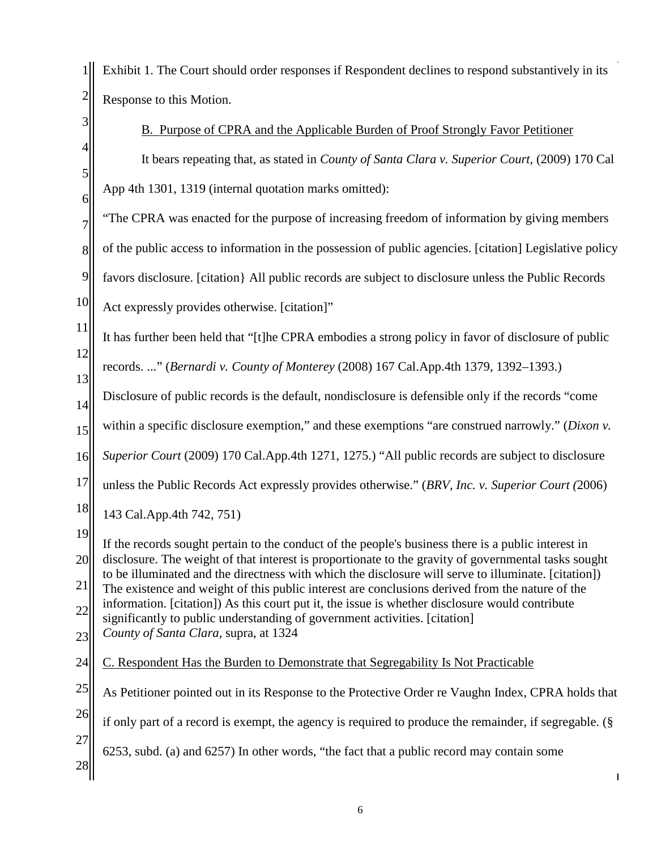1 Exhibit 1. The Court should order responses if Respondent declines to respond substantively in its 2 Response to this Motion.

| $\mathfrak{Z}$             | B. Purpose of CPRA and the Applicable Burden of Proof Strongly Favor Petitioner                                                                                                                                                                                                                                                                                                                                                                                                                                                                                                                                                                  |
|----------------------------|--------------------------------------------------------------------------------------------------------------------------------------------------------------------------------------------------------------------------------------------------------------------------------------------------------------------------------------------------------------------------------------------------------------------------------------------------------------------------------------------------------------------------------------------------------------------------------------------------------------------------------------------------|
| 4<br>$\sqrt{5}$            | It bears repeating that, as stated in <i>County of Santa Clara v. Superior Court</i> , (2009) 170 Cal                                                                                                                                                                                                                                                                                                                                                                                                                                                                                                                                            |
| 6                          | App 4th 1301, 1319 (internal quotation marks omitted):                                                                                                                                                                                                                                                                                                                                                                                                                                                                                                                                                                                           |
| 7                          | "The CPRA was enacted for the purpose of increasing freedom of information by giving members                                                                                                                                                                                                                                                                                                                                                                                                                                                                                                                                                     |
| 8                          | of the public access to information in the possession of public agencies. [citation] Legislative policy                                                                                                                                                                                                                                                                                                                                                                                                                                                                                                                                          |
| 9                          | favors disclosure. [citation] All public records are subject to disclosure unless the Public Records                                                                                                                                                                                                                                                                                                                                                                                                                                                                                                                                             |
| 10                         | Act expressly provides otherwise. [citation]"                                                                                                                                                                                                                                                                                                                                                                                                                                                                                                                                                                                                    |
| 11                         | It has further been held that "[t]he CPRA embodies a strong policy in favor of disclosure of public                                                                                                                                                                                                                                                                                                                                                                                                                                                                                                                                              |
| 12                         | records. " (Bernardi v. County of Monterey (2008) 167 Cal.App.4th 1379, 1392-1393.)                                                                                                                                                                                                                                                                                                                                                                                                                                                                                                                                                              |
| 13<br>14                   | Disclosure of public records is the default, nondisclosure is defensible only if the records "come                                                                                                                                                                                                                                                                                                                                                                                                                                                                                                                                               |
| 15                         | within a specific disclosure exemption," and these exemptions "are construed narrowly." (Dixon v.                                                                                                                                                                                                                                                                                                                                                                                                                                                                                                                                                |
| 16                         | Superior Court (2009) 170 Cal.App.4th 1271, 1275.) "All public records are subject to disclosure                                                                                                                                                                                                                                                                                                                                                                                                                                                                                                                                                 |
| 17                         | unless the Public Records Act expressly provides otherwise." (BRV, Inc. v. Superior Court (2006)                                                                                                                                                                                                                                                                                                                                                                                                                                                                                                                                                 |
| 18                         | 143 Cal.App.4th 742, 751)                                                                                                                                                                                                                                                                                                                                                                                                                                                                                                                                                                                                                        |
| 19<br>20<br>21<br>22<br>23 | If the records sought pertain to the conduct of the people's business there is a public interest in<br>disclosure. The weight of that interest is proportionate to the gravity of governmental tasks sought<br>to be illuminated and the directness with which the disclosure will serve to illuminate. [citation])<br>The existence and weight of this public interest are conclusions derived from the nature of the<br>information. [citation]) As this court put it, the issue is whether disclosure would contribute<br>significantly to public understanding of government activities. [citation]<br>County of Santa Clara, supra, at 1324 |
| 24                         | C. Respondent Has the Burden to Demonstrate that Segregability Is Not Practicable                                                                                                                                                                                                                                                                                                                                                                                                                                                                                                                                                                |
| 25                         | As Petitioner pointed out in its Response to the Protective Order re Vaughn Index, CPRA holds that                                                                                                                                                                                                                                                                                                                                                                                                                                                                                                                                               |
| 26                         | if only part of a record is exempt, the agency is required to produce the remainder, if segregable. (§                                                                                                                                                                                                                                                                                                                                                                                                                                                                                                                                           |
| 27<br>28                   | 6253, subd. (a) and 6257) In other words, "the fact that a public record may contain some                                                                                                                                                                                                                                                                                                                                                                                                                                                                                                                                                        |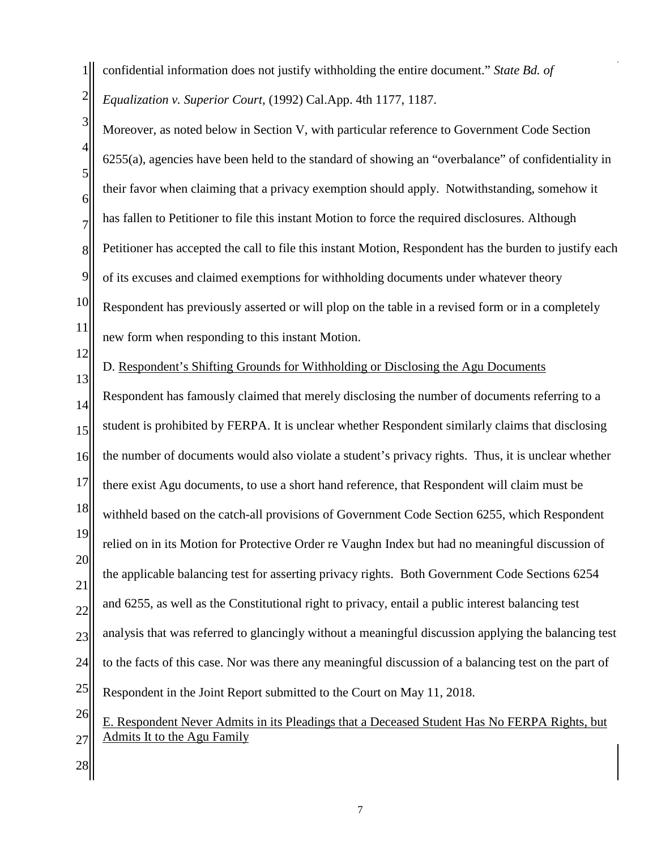1 2 confidential information does not justify withholding the entire document." *State Bd. of Equalization v. Superior Court,* (1992) Cal.App. 4th 1177, 1187.

3 4 5 6 7 8 9 10 11 Moreover, as noted below in Section V, with particular reference to Government Code Section 6255(a), agencies have been held to the standard of showing an "overbalance" of confidentiality in their favor when claiming that a privacy exemption should apply. Notwithstanding, somehow it has fallen to Petitioner to file this instant Motion to force the required disclosures. Although Petitioner has accepted the call to file this instant Motion, Respondent has the burden to justify each of its excuses and claimed exemptions for withholding documents under whatever theory Respondent has previously asserted or will plop on the table in a revised form or in a completely new form when responding to this instant Motion.

12

13

D. Respondent's Shifting Grounds for Withholding or Disclosing the Agu Documents

14 15 16 17 18 19 20 21 22 23 24 25 26 27 Respondent has famously claimed that merely disclosing the number of documents referring to a student is prohibited by FERPA. It is unclear whether Respondent similarly claims that disclosing the number of documents would also violate a student's privacy rights. Thus, it is unclear whether there exist Agu documents, to use a short hand reference, that Respondent will claim must be withheld based on the catch-all provisions of Government Code Section 6255, which Respondent relied on in its Motion for Protective Order re Vaughn Index but had no meaningful discussion of the applicable balancing test for asserting privacy rights. Both Government Code Sections 6254 and 6255, as well as the Constitutional right to privacy, entail a public interest balancing test analysis that was referred to glancingly without a meaningful discussion applying the balancing test to the facts of this case. Nor was there any meaningful discussion of a balancing test on the part of Respondent in the Joint Report submitted to the Court on May 11, 2018. E. Respondent Never Admits in its Pleadings that a Deceased Student Has No FERPA Rights, but Admits It to the Agu Family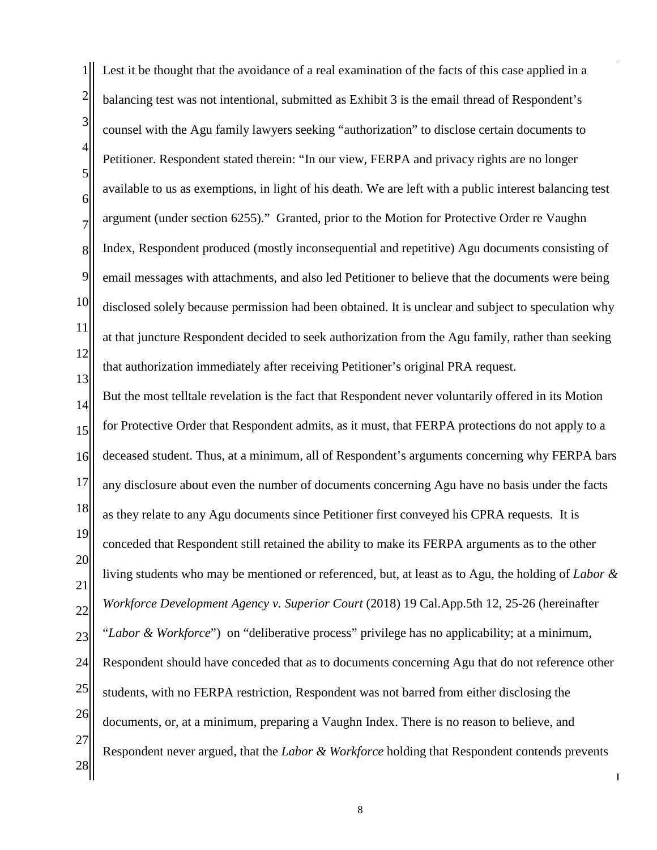1 2 3 4 5 6 7 8 9 10 11 12 13 14 15 16 17 18 19 20 21 22 23 24 25 26 27 28 Lest it be thought that the avoidance of a real examination of the facts of this case applied in a balancing test was not intentional, submitted as Exhibit 3 is the email thread of Respondent's counsel with the Agu family lawyers seeking "authorization" to disclose certain documents to Petitioner. Respondent stated therein: "In our view, FERPA and privacy rights are no longer available to us as exemptions, in light of his death. We are left with a public interest balancing test argument (under section 6255)." Granted, prior to the Motion for Protective Order re Vaughn Index, Respondent produced (mostly inconsequential and repetitive) Agu documents consisting of email messages with attachments, and also led Petitioner to believe that the documents were being disclosed solely because permission had been obtained. It is unclear and subject to speculation why at that juncture Respondent decided to seek authorization from the Agu family, rather than seeking that authorization immediately after receiving Petitioner's original PRA request. But the most telltale revelation is the fact that Respondent never voluntarily offered in its Motion for Protective Order that Respondent admits, as it must, that FERPA protections do not apply to a deceased student. Thus, at a minimum, all of Respondent's arguments concerning why FERPA bars any disclosure about even the number of documents concerning Agu have no basis under the facts as they relate to any Agu documents since Petitioner first conveyed his CPRA requests. It is conceded that Respondent still retained the ability to make its FERPA arguments as to the other living students who may be mentioned or referenced, but, at least as to Agu, the holding of *Labor & Workforce Development Agency v. Superior Court* (2018) 19 Cal.App.5th 12, 25-26 (hereinafter "*Labor & Workforce*") on "deliberative process" privilege has no applicability; at a minimum, Respondent should have conceded that as to documents concerning Agu that do not reference other students, with no FERPA restriction, Respondent was not barred from either disclosing the documents, or, at a minimum, preparing a Vaughn Index. There is no reason to believe, and Respondent never argued, that the *Labor & Workforce* holding that Respondent contends prevents

8

 $\overline{1}$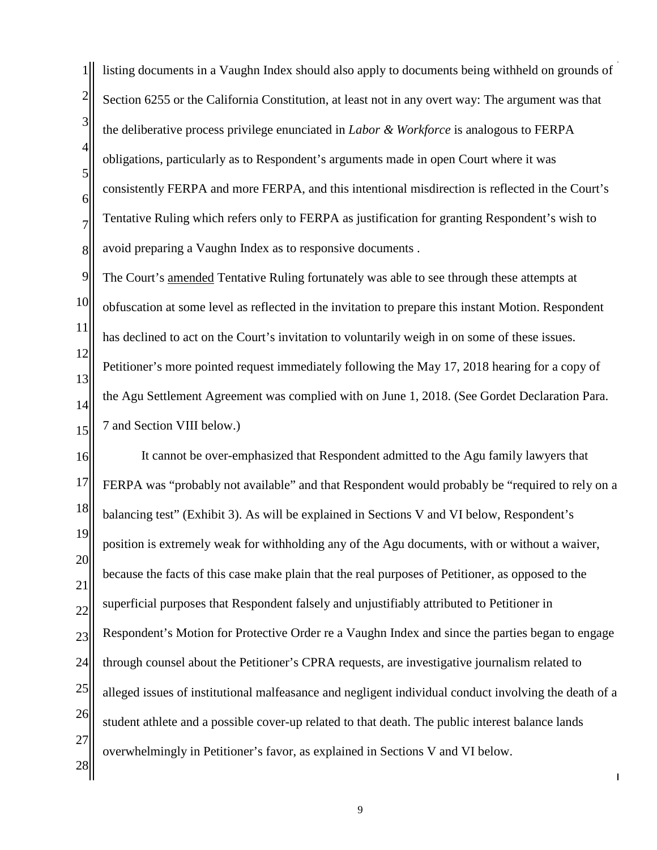1 2 3 4 5 6 7 8 listing documents in a Vaughn Index should also apply to documents being withheld on grounds of Section 6255 or the California Constitution, at least not in any overt way: The argument was that the deliberative process privilege enunciated in *Labor & Workforce* is analogous to FERPA obligations, particularly as to Respondent's arguments made in open Court where it was consistently FERPA and more FERPA, and this intentional misdirection is reflected in the Court's Tentative Ruling which refers only to FERPA as justification for granting Respondent's wish to avoid preparing a Vaughn Index as to responsive documents .

9 10 11 12 13 14 15 The Court's amended Tentative Ruling fortunately was able to see through these attempts at obfuscation at some level as reflected in the invitation to prepare this instant Motion. Respondent has declined to act on the Court's invitation to voluntarily weigh in on some of these issues. Petitioner's more pointed request immediately following the May 17, 2018 hearing for a copy of the Agu Settlement Agreement was complied with on June 1, 2018. (See Gordet Declaration Para. 7 and Section VIII below.)

16 17 18 19 20 21 22 23 24 25 26 27 28 It cannot be over-emphasized that Respondent admitted to the Agu family lawyers that FERPA was "probably not available" and that Respondent would probably be "required to rely on a balancing test" (Exhibit 3). As will be explained in Sections V and VI below, Respondent's position is extremely weak for withholding any of the Agu documents, with or without a waiver, because the facts of this case make plain that the real purposes of Petitioner, as opposed to the superficial purposes that Respondent falsely and unjustifiably attributed to Petitioner in Respondent's Motion for Protective Order re a Vaughn Index and since the parties began to engage through counsel about the Petitioner's CPRA requests, are investigative journalism related to alleged issues of institutional malfeasance and negligent individual conduct involving the death of a student athlete and a possible cover-up related to that death. The public interest balance lands overwhelmingly in Petitioner's favor, as explained in Sections V and VI below.

9

 $\mathsf{l}$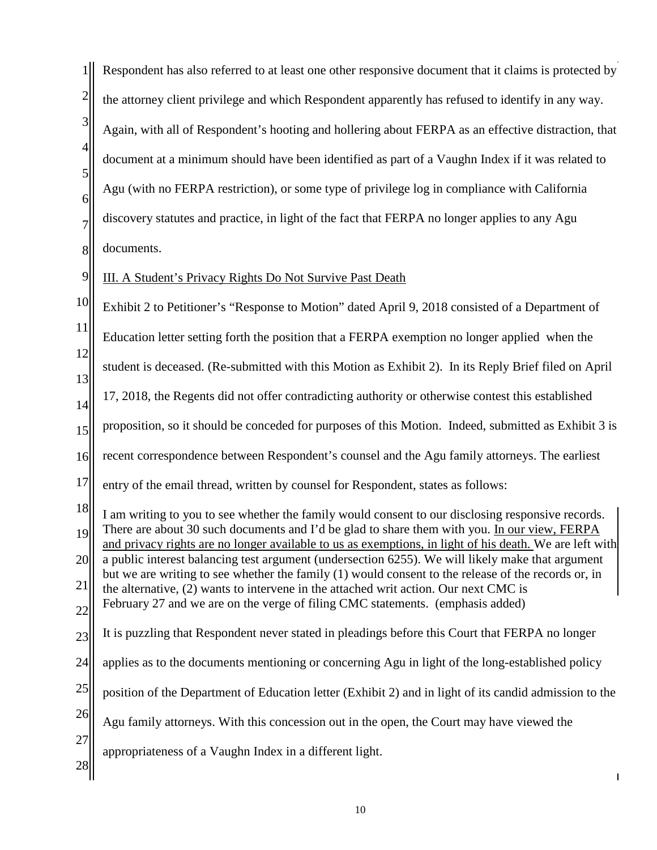|                         | Respondent has also referred to at least one other responsive document that it claims is protected by                                                                                                                                                                                                        |
|-------------------------|--------------------------------------------------------------------------------------------------------------------------------------------------------------------------------------------------------------------------------------------------------------------------------------------------------------|
| $\overline{\mathbf{c}}$ | the attorney client privilege and which Respondent apparently has refused to identify in any way.                                                                                                                                                                                                            |
| 3                       | Again, with all of Respondent's hooting and hollering about FERPA as an effective distraction, that                                                                                                                                                                                                          |
| 4<br>5                  | document at a minimum should have been identified as part of a Vaughn Index if it was related to                                                                                                                                                                                                             |
| 6                       | Agu (with no FERPA restriction), or some type of privilege log in compliance with California                                                                                                                                                                                                                 |
| $\overline{7}$          | discovery statutes and practice, in light of the fact that FERPA no longer applies to any Agu                                                                                                                                                                                                                |
| 8                       | documents.                                                                                                                                                                                                                                                                                                   |
| 9                       | III. A Student's Privacy Rights Do Not Survive Past Death                                                                                                                                                                                                                                                    |
| 10                      | Exhibit 2 to Petitioner's "Response to Motion" dated April 9, 2018 consisted of a Department of                                                                                                                                                                                                              |
| 11                      | Education letter setting forth the position that a FERPA exemption no longer applied when the                                                                                                                                                                                                                |
| 12<br>13                | student is deceased. (Re-submitted with this Motion as Exhibit 2). In its Reply Brief filed on April                                                                                                                                                                                                         |
| 14                      | 17, 2018, the Regents did not offer contradicting authority or otherwise contest this established                                                                                                                                                                                                            |
| 15                      | proposition, so it should be conceded for purposes of this Motion. Indeed, submitted as Exhibit 3 is                                                                                                                                                                                                         |
| 16                      | recent correspondence between Respondent's counsel and the Agu family attorneys. The earliest                                                                                                                                                                                                                |
| 17                      | entry of the email thread, written by counsel for Respondent, states as follows:                                                                                                                                                                                                                             |
| 18<br>19                | I am writing to you to see whether the family would consent to our disclosing responsive records.<br>There are about 30 such documents and I'd be glad to share them with you. In our view, FERPA<br>and privacy rights are no longer available to us as exemptions, in light of his death. We are left with |
| 20                      | a public interest balancing test argument (undersection 6255). We will likely make that argument<br>but we are writing to see whether the family (1) would consent to the release of the records or, in                                                                                                      |
| 21                      | the alternative, (2) wants to intervene in the attached writ action. Our next CMC is<br>February 27 and we are on the verge of filing CMC statements. (emphasis added)                                                                                                                                       |
| 22<br>23                | It is puzzling that Respondent never stated in pleadings before this Court that FERPA no longer                                                                                                                                                                                                              |
| 24                      | applies as to the documents mentioning or concerning Agu in light of the long-established policy                                                                                                                                                                                                             |
| 25                      | position of the Department of Education letter (Exhibit 2) and in light of its candid admission to the                                                                                                                                                                                                       |
| 26                      | Agu family attorneys. With this concession out in the open, the Court may have viewed the                                                                                                                                                                                                                    |
| 27                      | appropriateness of a Vaughn Index in a different light.                                                                                                                                                                                                                                                      |
| 28                      |                                                                                                                                                                                                                                                                                                              |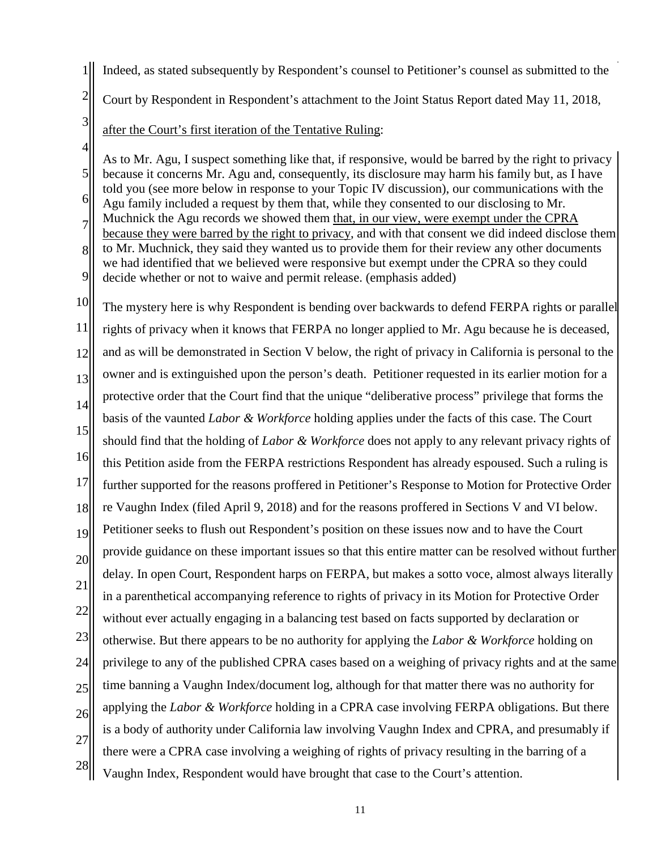- 1 Indeed, as stated subsequently by Respondent's counsel to Petitioner's counsel as submitted to the
- 2 Court by Respondent in Respondent's attachment to the Joint Status Report dated May 11, 2018,
- 3
- after the Court's first iteration of the Tentative Ruling:

4 5 6 7 8 9 As to Mr. Agu, I suspect something like that, if responsive, would be barred by the right to privacy because it concerns Mr. Agu and, consequently, its disclosure may harm his family but, as I have told you (see more below in response to your Topic IV discussion), our communications with the Agu family included a request by them that, while they consented to our disclosing to Mr. Muchnick the Agu records we showed them that, in our view, were exempt under the CPRA because they were barred by the right to privacy, and with that consent we did indeed disclose them to Mr. Muchnick, they said they wanted us to provide them for their review any other documents we had identified that we believed were responsive but exempt under the CPRA so they could decide whether or not to waive and permit release. (emphasis added)

10 11 12 13 14 15 16 17 18 19 20 21 22 23 24 25 26 27 28 The mystery here is why Respondent is bending over backwards to defend FERPA rights or parallel rights of privacy when it knows that FERPA no longer applied to Mr. Agu because he is deceased, and as will be demonstrated in Section V below, the right of privacy in California is personal to the owner and is extinguished upon the person's death. Petitioner requested in its earlier motion for a protective order that the Court find that the unique "deliberative process" privilege that forms the basis of the vaunted *Labor & Workforce* holding applies under the facts of this case. The Court should find that the holding of *Labor & Workforce* does not apply to any relevant privacy rights of this Petition aside from the FERPA restrictions Respondent has already espoused. Such a ruling is further supported for the reasons proffered in Petitioner's Response to Motion for Protective Order re Vaughn Index (filed April 9, 2018) and for the reasons proffered in Sections V and VI below. Petitioner seeks to flush out Respondent's position on these issues now and to have the Court provide guidance on these important issues so that this entire matter can be resolved without further delay. In open Court, Respondent harps on FERPA, but makes a sotto voce, almost always literally in a parenthetical accompanying reference to rights of privacy in its Motion for Protective Order without ever actually engaging in a balancing test based on facts supported by declaration or otherwise. But there appears to be no authority for applying the *Labor & Workforce* holding on privilege to any of the published CPRA cases based on a weighing of privacy rights and at the same time banning a Vaughn Index/document log, although for that matter there was no authority for applying the *Labor & Workforce* holding in a CPRA case involving FERPA obligations. But there is a body of authority under California law involving Vaughn Index and CPRA, and presumably if there were a CPRA case involving a weighing of rights of privacy resulting in the barring of a Vaughn Index, Respondent would have brought that case to the Court's attention.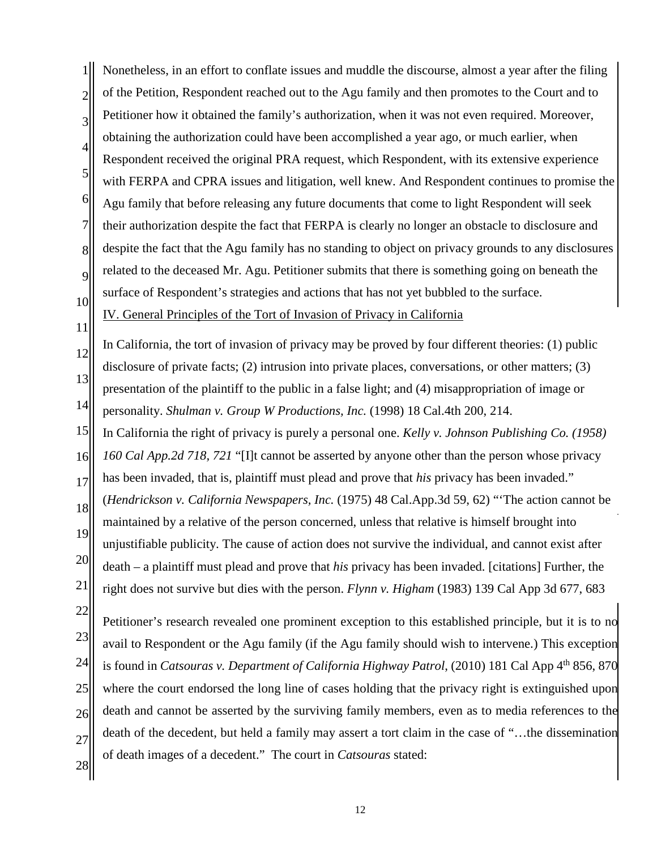1 2 3 4 5 6 7 8 9 10 Nonetheless, in an effort to conflate issues and muddle the discourse, almost a year after the filing of the Petition, Respondent reached out to the Agu family and then promotes to the Court and to Petitioner how it obtained the family's authorization, when it was not even required. Moreover, obtaining the authorization could have been accomplished a year ago, or much earlier, when Respondent received the original PRA request, which Respondent, with its extensive experience with FERPA and CPRA issues and litigation, well knew. And Respondent continues to promise the Agu family that before releasing any future documents that come to light Respondent will seek their authorization despite the fact that FERPA is clearly no longer an obstacle to disclosure and despite the fact that the Agu family has no standing to object on privacy grounds to any disclosures related to the deceased Mr. Agu. Petitioner submits that there is something going on beneath the surface of Respondent's strategies and actions that has not yet bubbled to the surface.

11

## IV. General Principles of the Tort of Invasion of Privacy in California

12 13 14 In California, the tort of invasion of privacy may be proved by four different theories: (1) public disclosure of private facts; (2) intrusion into private places, conversations, or other matters; (3) presentation of the plaintiff to the public in a false light; and (4) misappropriation of image or personality. *[Shulman v. Group W Productions, Inc.](http://www.westlaw.com/Link/Document/FullText?findType=Y&serNum=1998117191&pubNum=661&originatingDoc=I39d1a1e8ffba11d99439b076ef9ec4de&refType=RP&originationContext=document&vr=3.0&rs=cblt1.0&transitionType=DocumentItem&contextData=(sc.Keycite))* (1998) 18 Cal.4th 200, 214.

15 In California the right of privacy is purely a personal one. *Kelly v. Johnson Publishing Co. (1958)* 

16 *160 Cal App.2d 718, 721* "[I]t cannot be asserted by anyone other than the person whose privacy

17 has been invaded, that is, plaintiff must plead and prove that *his* privacy has been invaded."

18 19 20 21 (*[Hendrickson v. California Newspapers, Inc.](http://www.westlaw.com/Link/Document/FullText?findType=Y&serNum=1975104226&pubNum=227&originatingDoc=I39d1a1e8ffba11d99439b076ef9ec4de&refType=RP&originationContext=document&vr=3.0&rs=cblt1.0&transitionType=DocumentItem&contextData=(sc.Keycite))* (1975) 48 Cal.App.3d 59, 62) "'The action cannot be maintained by a relative of the person concerned, unless that relative is himself brought into unjustifiable publicity. The cause of action does not survive the individual, and cannot exist after death – a plaintiff must plead and prove that *his* privacy has been invaded. [citations] Further, the right does not survive but dies with the person. *Flynn v. Higham* (1983) 139 Cal App 3d 677, 683

22

23 24 25 26 27 Petitioner's research revealed one prominent exception to this established principle, but it is to no avail to Respondent or the Agu family (if the Agu family should wish to intervene.) This exception is found in *Catsouras v. Department of California Highway Patrol*, (2010) 181 Cal App 4<sup>th</sup> 856, 870 where the court endorsed the long line of cases holding that the privacy right is extinguished upon death and cannot be asserted by the surviving family members, even as to media references to the death of the decedent, but held a family may assert a tort claim in the case of "…the dissemination of death images of a decedent." The court in *Catsouras* stated: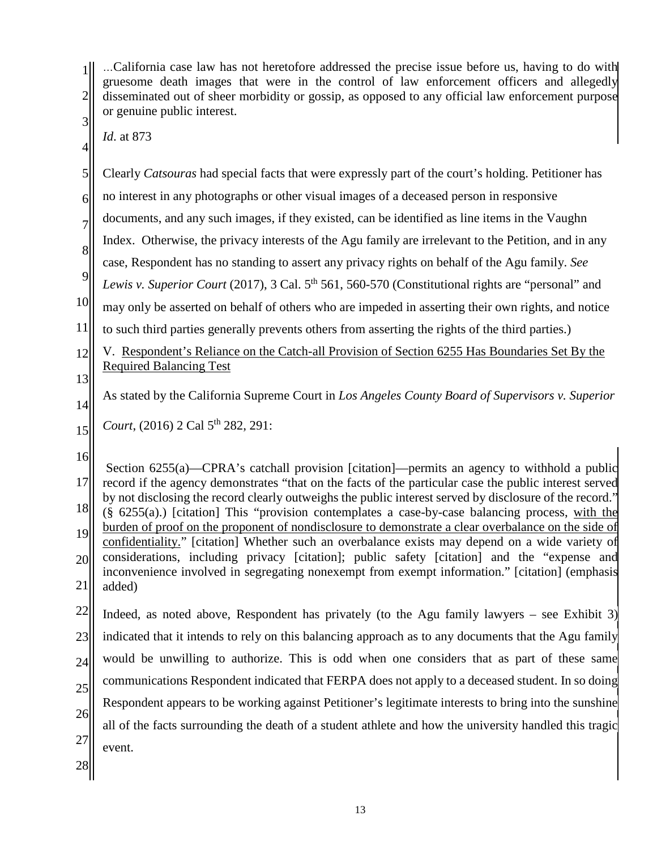| $\overline{c}$<br>3              | California case law has not heretofore addressed the precise issue before us, having to do with<br>gruesome death images that were in the control of law enforcement officers and allegedly<br>disseminated out of sheer morbidity or gossip, as opposed to any official law enforcement purpose<br>or genuine public interest.                                                                                                                                                                                                                                                                                                                                                                                                                                                                                                             |  |
|----------------------------------|---------------------------------------------------------------------------------------------------------------------------------------------------------------------------------------------------------------------------------------------------------------------------------------------------------------------------------------------------------------------------------------------------------------------------------------------------------------------------------------------------------------------------------------------------------------------------------------------------------------------------------------------------------------------------------------------------------------------------------------------------------------------------------------------------------------------------------------------|--|
| 4                                | Id. at 873                                                                                                                                                                                                                                                                                                                                                                                                                                                                                                                                                                                                                                                                                                                                                                                                                                  |  |
| 5                                | Clearly Catsouras had special facts that were expressly part of the court's holding. Petitioner has                                                                                                                                                                                                                                                                                                                                                                                                                                                                                                                                                                                                                                                                                                                                         |  |
| 6                                | no interest in any photographs or other visual images of a deceased person in responsive                                                                                                                                                                                                                                                                                                                                                                                                                                                                                                                                                                                                                                                                                                                                                    |  |
| $\overline{7}$                   | documents, and any such images, if they existed, can be identified as line items in the Vaughn                                                                                                                                                                                                                                                                                                                                                                                                                                                                                                                                                                                                                                                                                                                                              |  |
| 8                                | Index. Otherwise, the privacy interests of the Agu family are irrelevant to the Petition, and in any                                                                                                                                                                                                                                                                                                                                                                                                                                                                                                                                                                                                                                                                                                                                        |  |
| 9                                | case, Respondent has no standing to assert any privacy rights on behalf of the Agu family. See                                                                                                                                                                                                                                                                                                                                                                                                                                                                                                                                                                                                                                                                                                                                              |  |
|                                  | Lewis v. Superior Court (2017), 3 Cal. 5 <sup>th</sup> 561, 560-570 (Constitutional rights are "personal" and                                                                                                                                                                                                                                                                                                                                                                                                                                                                                                                                                                                                                                                                                                                               |  |
| 10                               | may only be asserted on behalf of others who are impeded in asserting their own rights, and notice                                                                                                                                                                                                                                                                                                                                                                                                                                                                                                                                                                                                                                                                                                                                          |  |
| 11                               | to such third parties generally prevents others from asserting the rights of the third parties.)                                                                                                                                                                                                                                                                                                                                                                                                                                                                                                                                                                                                                                                                                                                                            |  |
| 12                               | V. Respondent's Reliance on the Catch-all Provision of Section 6255 Has Boundaries Set By the<br><b>Required Balancing Test</b>                                                                                                                                                                                                                                                                                                                                                                                                                                                                                                                                                                                                                                                                                                             |  |
| 13                               |                                                                                                                                                                                                                                                                                                                                                                                                                                                                                                                                                                                                                                                                                                                                                                                                                                             |  |
| 14                               | As stated by the California Supreme Court in Los Angeles County Board of Supervisors v. Superior                                                                                                                                                                                                                                                                                                                                                                                                                                                                                                                                                                                                                                                                                                                                            |  |
| 15                               | Court, (2016) 2 Cal 5 <sup>th</sup> 282, 291:                                                                                                                                                                                                                                                                                                                                                                                                                                                                                                                                                                                                                                                                                                                                                                                               |  |
| 16<br>17<br>18<br>19<br>20<br>21 | Section 6255(a)—CPRA's catchall provision [citation]—permits an agency to withhold a public<br>record if the agency demonstrates "that on the facts of the particular case the public interest served<br>by not disclosing the record clearly outweighs the public interest served by disclosure of the record."<br>$(\S$ 6255(a).) [citation] This "provision contemplates a case-by-case balancing process, with the<br>burden of proof on the proponent of nondisclosure to demonstrate a clear overbalance on the side of<br>confidentiality." [citation] Whether such an overbalance exists may depend on a wide variety of<br>considerations, including privacy [citation]; public safety [citation] and the "expense and<br>inconvenience involved in segregating nonexempt from exempt information." [citation] (emphasis<br>added) |  |
| 22                               |                                                                                                                                                                                                                                                                                                                                                                                                                                                                                                                                                                                                                                                                                                                                                                                                                                             |  |
|                                  | Indeed, as noted above, Respondent has privately (to the Agu family lawyers $-$ see Exhibit 3)                                                                                                                                                                                                                                                                                                                                                                                                                                                                                                                                                                                                                                                                                                                                              |  |
| 23                               | indicated that it intends to rely on this balancing approach as to any documents that the Agu family                                                                                                                                                                                                                                                                                                                                                                                                                                                                                                                                                                                                                                                                                                                                        |  |
| 24                               | would be unwilling to authorize. This is odd when one considers that as part of these same                                                                                                                                                                                                                                                                                                                                                                                                                                                                                                                                                                                                                                                                                                                                                  |  |
| 25                               | communications Respondent indicated that FERPA does not apply to a deceased student. In so doing                                                                                                                                                                                                                                                                                                                                                                                                                                                                                                                                                                                                                                                                                                                                            |  |
| 26                               | Respondent appears to be working against Petitioner's legitimate interests to bring into the sunshine                                                                                                                                                                                                                                                                                                                                                                                                                                                                                                                                                                                                                                                                                                                                       |  |
| 27                               | all of the facts surrounding the death of a student athlete and how the university handled this tragic                                                                                                                                                                                                                                                                                                                                                                                                                                                                                                                                                                                                                                                                                                                                      |  |
| 28                               | event.                                                                                                                                                                                                                                                                                                                                                                                                                                                                                                                                                                                                                                                                                                                                                                                                                                      |  |
|                                  |                                                                                                                                                                                                                                                                                                                                                                                                                                                                                                                                                                                                                                                                                                                                                                                                                                             |  |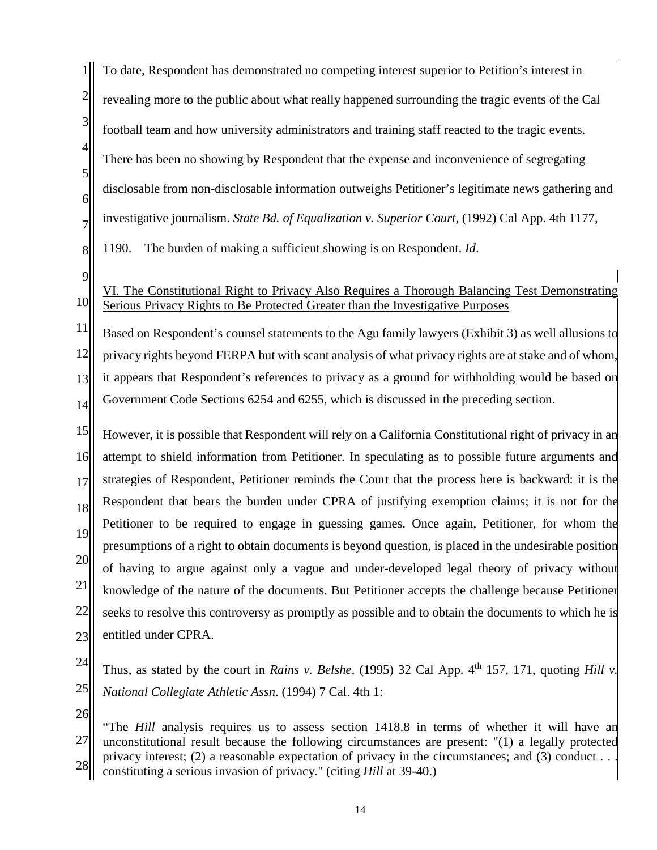1 2 3 4 5 6 7 8 To date, Respondent has demonstrated no competing interest superior to Petition's interest in revealing more to the public about what really happened surrounding the tragic events of the Cal football team and how university administrators and training staff reacted to the tragic events. There has been no showing by Respondent that the expense and inconvenience of segregating disclosable from non-disclosable information outweighs Petitioner's legitimate news gathering and investigative journalism. *State Bd. of Equalization v. Superior Court,* (1992) Cal App. 4th 1177, 1190. The burden of making a sufficient showing is on Respondent. *Id*.

9

## 10 VI. The Constitutional Right to Privacy Also Requires a Thorough Balancing Test Demonstrating Serious Privacy Rights to Be Protected Greater than the Investigative Purposes

11 12 13 14 Based on Respondent's counsel statements to the Agu family lawyers (Exhibit 3) as well allusions to privacy rights beyond FERPA but with scant analysis of what privacy rights are at stake and of whom, it appears that Respondent's references to privacy as a ground for withholding would be based on Government Code Sections 6254 and 6255, which is discussed in the preceding section.

15 16 17 18 19 20 21 22 23 However, it is possible that Respondent will rely on a California Constitutional right of privacy in an attempt to shield information from Petitioner. In speculating as to possible future arguments and strategies of Respondent, Petitioner reminds the Court that the process here is backward: it is the Respondent that bears the burden under CPRA of justifying exemption claims; it is not for the Petitioner to be required to engage in guessing games. Once again, Petitioner, for whom the presumptions of a right to obtain documents is beyond question, is placed in the undesirable position of having to argue against only a vague and under-developed legal theory of privacy without knowledge of the nature of the documents. But Petitioner accepts the challenge because Petitioner seeks to resolve this controversy as promptly as possible and to obtain the documents to which he is entitled under CPRA.

- 24 25 Thus, as stated by the court in *Rains v. Belshe*, (1995) 32 Cal App.  $4<sup>th</sup>$  157, 171, quoting *Hill v. [National Collegiate Athletic Assn](https://advance.lexis.com/api/document?collection=cases&id=urn:contentItem:3RX4-2T70-003D-J3Y4-00000-00&context=)*. (1994) [7 Cal. 4th 1:](https://advance.lexis.com/api/document?collection=cases&id=urn:contentItem:3RX4-2T70-003D-J3Y4-00000-00&context=)
- 26

27 28 "The *Hill* analysis requires us to assess [section 1418.8](https://advance.lexis.com/api/document?collection=statutes-legislation&id=urn:contentItem:5J6R-GS91-66B9-853P-00000-00&context=) in terms of whether it will have an unconstitutional result because the following circumstances are present: "(1) a legally protected privacy interest; (2) a reasonable expectation of privacy in the circumstances; and (3) conduct . . . constituting a serious invasion of privacy." (citing *[Hill](https://advance.lexis.com/api/document?collection=cases&id=urn:contentItem:3RX4-2T70-003D-J3Y4-00000-00&context=)* at [39-40.](https://advance.lexis.com/api/document?collection=cases&id=urn:contentItem:3RX4-2T70-003D-J3Y4-00000-00&context=))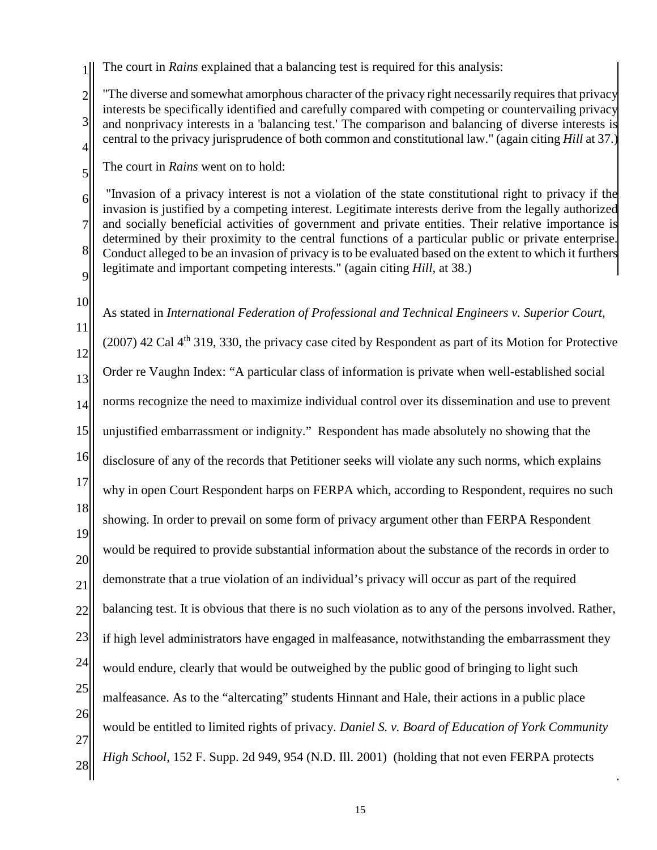1 The court in *Rains* explained that a balancing test is required for this analysis:

2 3 4 "The diverse and somewhat amorphous character of the privacy right necessarily requires that privacy interests be specifically identified and carefully compared with competing or countervailing privacy and nonprivacy interests in a 'balancing test.' The comparison and balancing of diverse interests is central to the privacy jurisprudence of both common and constitutional law." (again citing *[Hill](https://advance.lexis.com/api/document?collection=cases&id=urn:contentItem:3RX4-2T70-003D-J3Y4-00000-00&context=)* [at 37.](https://advance.lexis.com/api/document?collection=cases&id=urn:contentItem:3RX4-2T70-003D-J3Y4-00000-00&context=))

The court in *Rains* went on to hold:

6 7 8 9 "Invasion of a privacy interest is not a violation of the state constitutional right to privacy if the invasion is justified by a competing interest. Legitimate interests derive from the legally authorized and socially beneficial activities of government and private entities. Their relative importance is determined by their proximity to the central functions of a particular public or private enterprise. Conduct alleged to be an invasion of privacy is to be evaluated based on the extent to which it furthers legitimate and important competing interests." (again citing *[Hill,](https://advance.lexis.com/api/document?collection=cases&id=urn:contentItem:3RX4-2T70-003D-J3Y4-00000-00&context=)* at [38.](https://advance.lexis.com/api/document?collection=cases&id=urn:contentItem:3RX4-2T70-003D-J3Y4-00000-00&context=))

10

5

11 12 13 14 15 16 17 18 19 20 21 22 23 24 25 26 27 28 As stated in *International Federation of Professional and Technical Engineers v. Superior Court,*   $(2007)$  42 Cal 4<sup>th</sup> 319, 330, the privacy case cited by Respondent as part of its Motion for Protective Order re Vaughn Index: "A particular class of information is private when well-established social norms recognize the need to maximize individual control over its dissemination and use to prevent unjustified embarrassment or indignity." Respondent has made absolutely no showing that the disclosure of any of the records that Petitioner seeks will violate any such norms, which explains why in open Court Respondent harps on FERPA which, according to Respondent, requires no such showing. In order to prevail on some form of privacy argument other than FERPA Respondent would be required to provide substantial information about the substance of the records in order to demonstrate that a true violation of an individual's privacy will occur as part of the required balancing test. It is obvious that there is no such violation as to any of the persons involved. Rather, if high level administrators have engaged in malfeasance, notwithstanding the embarrassment they would endure, clearly that would be outweighed by the public good of bringing to light such malfeasance. As to the "altercating" students Hinnant and Hale, their actions in a public place would be entitled to limited rights of privacy. *[Daniel S. v. Board of Education of York Community](http://www.westlaw.com/Link/Document/FullText?findType=Y&serNum=2001686862&pubNum=0004637&originatingDoc=If0d0f3804a6c11da9dd0fb3b7d119fd6&refType=RP&originationContext=document&vr=3.0&rs=cblt1.0&transitionType=DocumentItem&contextData=(sc.Search))  High School*[, 152 F. Supp. 2d 949, 954](http://www.westlaw.com/Link/Document/FullText?findType=Y&serNum=2001686862&pubNum=0004637&originatingDoc=If0d0f3804a6c11da9dd0fb3b7d119fd6&refType=RP&originationContext=document&vr=3.0&rs=cblt1.0&transitionType=DocumentItem&contextData=(sc.Search)) (N.D. Ill. 2001) (holding that not even FERPA protects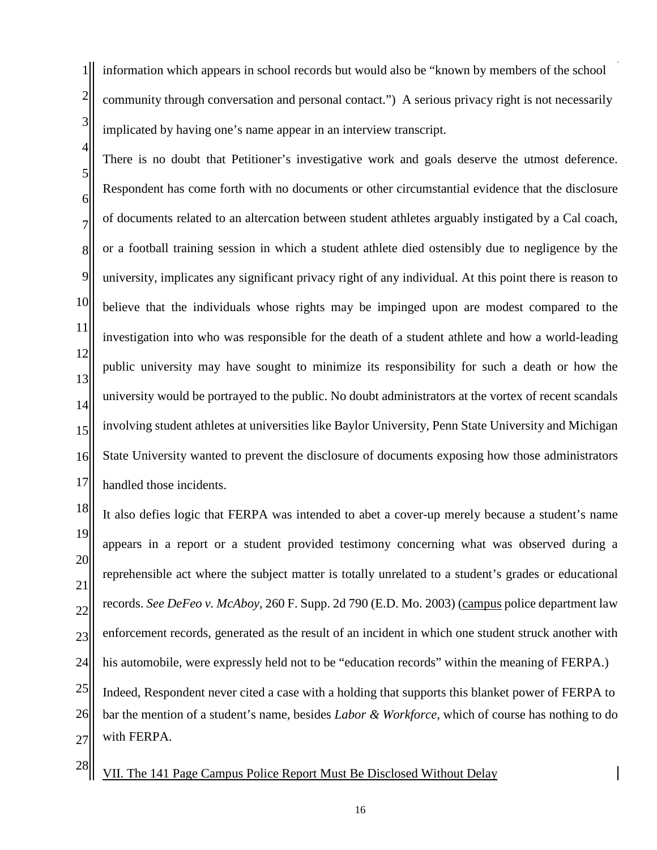1 2 3 information which appears in school records but would also be "known by members of the school community through conversation and personal contact.") A serious privacy right is not necessarily implicated by having one's name appear in an interview transcript.

5 6 7 8 9 10 11 12 13 14 15 16 17 There is no doubt that Petitioner's investigative work and goals deserve the utmost deference. Respondent has come forth with no documents or other circumstantial evidence that the disclosure of documents related to an altercation between student athletes arguably instigated by a Cal coach, or a football training session in which a student athlete died ostensibly due to negligence by the university, implicates any significant privacy right of any individual. At this point there is reason to believe that the individuals whose rights may be impinged upon are modest compared to the investigation into who was responsible for the death of a student athlete and how a world-leading public university may have sought to minimize its responsibility for such a death or how the university would be portrayed to the public. No doubt administrators at the vortex of recent scandals involving student athletes at universities like Baylor University, Penn State University and Michigan State University wanted to prevent the disclosure of documents exposing how those administrators handled those incidents.

18 19 20 21 22 23 24 25 26 27 It also defies logic that FERPA was intended to abet a cover-up merely because a student's name appears in a report or a student provided testimony concerning what was observed during a reprehensible act where the subject matter is totally unrelated to a student's grades or educational records. *See DeFeo v. McAboy*[, 260 F. Supp. 2d 790 \(E.D. Mo. 2003\)](http://www.westlaw.com/Link/Document/FullText?findType=Y&serNum=2003316730&pubNum=0004637&originatingDoc=If0d0f3804a6c11da9dd0fb3b7d119fd6&refType=RP&originationContext=document&vr=3.0&rs=cblt1.0&transitionType=DocumentItem&contextData=(sc.Search)) (campus police department law enforcement records, generated as the result of an incident in which one student struck another with his automobile, were expressly held not to be "education records" within the meaning of FERPA.) Indeed, Respondent never cited a case with a holding that supports this blanket power of FERPA to bar the mention of a student's name, besides *Labor & Workforce*, which of course has nothing to do with FERPA.

28

4

VII. The 141 Page Campus Police Report Must Be Disclosed Without Delay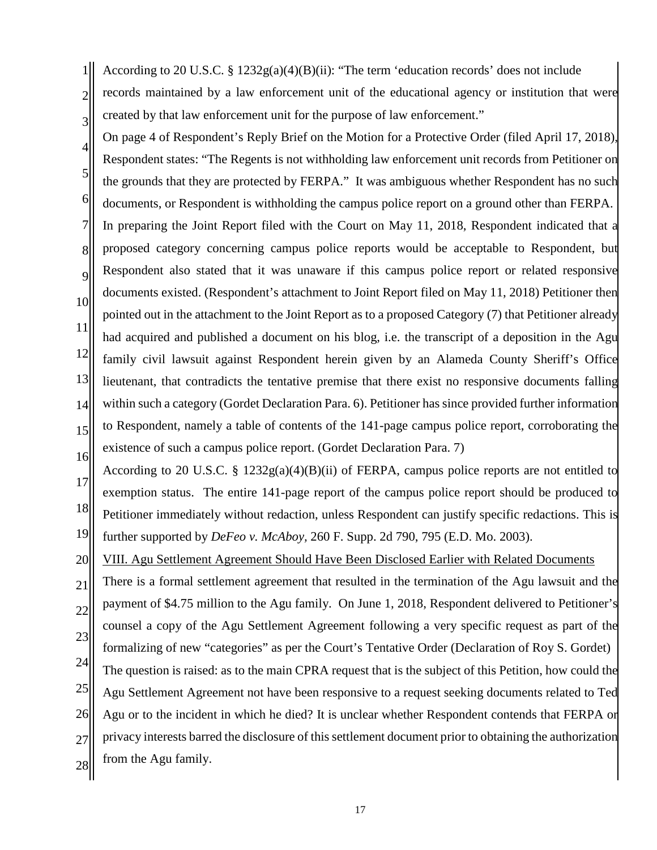$1$ || 2 3 According to 20 U.S.C. § 1232g(a)(4)(B)(ii): "The term 'education records' does not include records maintained by a law enforcement unit of the educational agency or institution that were created by that law enforcement unit for the purpose of law enforcement."

4 5 6 7 8 9 10 11 12 13 14 15 16 On page 4 of Respondent's Reply Brief on the Motion for a Protective Order (filed April 17, 2018), Respondent states: "The Regents is not withholding law enforcement unit records from Petitioner on the grounds that they are protected by FERPA." It was ambiguous whether Respondent has no such documents, or Respondent is withholding the campus police report on a ground other than FERPA. In preparing the Joint Report filed with the Court on May 11, 2018, Respondent indicated that a proposed category concerning campus police reports would be acceptable to Respondent, but Respondent also stated that it was unaware if this campus police report or related responsive documents existed. (Respondent's attachment to Joint Report filed on May 11, 2018) Petitioner then pointed out in the attachment to the Joint Report as to a proposed Category (7) that Petitioner already had acquired and published a document on his blog, i.e. the transcript of a deposition in the Agu family civil lawsuit against Respondent herein given by an Alameda County Sheriff's Office lieutenant, that contradicts the tentative premise that there exist no responsive documents falling within such a category (Gordet Declaration Para. 6). Petitioner has since provided further information to Respondent, namely a table of contents of the 141-page campus police report, corroborating the existence of such a campus police report. (Gordet Declaration Para. 7)

17 18 19 According to 20 U.S.C. § 1232g(a)(4)(B)(ii) of FERPA, campus police reports are not entitled to exemption status. The entire 141-page report of the campus police report should be produced to Petitioner immediately without redaction, unless Respondent can justify specific redactions. This is further supported by *DeFeo v. McAboy,* 260 F. Supp. 2d 790, 795 (E.D. Mo. 2003).

20 VIII. Agu Settlement Agreement Should Have Been Disclosed Earlier with Related Documents

21 22 23 24 25 26 27 28 There is a formal settlement agreement that resulted in the termination of the Agu lawsuit and the payment of \$4.75 million to the Agu family. On June 1, 2018, Respondent delivered to Petitioner's counsel a copy of the Agu Settlement Agreement following a very specific request as part of the formalizing of new "categories" as per the Court's Tentative Order (Declaration of Roy S. Gordet) The question is raised: as to the main CPRA request that is the subject of this Petition, how could the Agu Settlement Agreement not have been responsive to a request seeking documents related to Ted Agu or to the incident in which he died? It is unclear whether Respondent contends that FERPA or privacy interests barred the disclosure of this settlement document prior to obtaining the authorization from the Agu family.